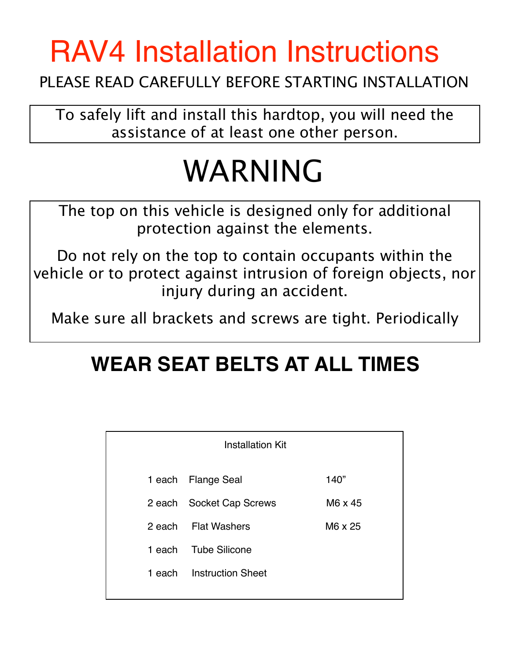## RAV4 Installation Instructions

## PLEASE READ CAREFULLY BEFORE STARTING INSTALLATION

To safely lift and install this hardtop, you will need the assistance of at least one other person.

## WARNING

The top on this vehicle is designed only for additional protection against the elements.

Do not rely on the top to contain occupants within the vehicle or to protect against intrusion of foreign objects, nor injury during an accident.

Make sure all brackets and screws are tight. Periodically

## **WEAR SEAT BELTS AT ALL TIMES**

|        | <b>Installation Kit</b>  |         |
|--------|--------------------------|---------|
|        | 1 each Flange Seal       | 140"    |
| 2 each | <b>Socket Cap Screws</b> | M6 x 45 |
|        | 2 each Flat Washers      | M6 x 25 |
| 1 each | <b>Tube Silicone</b>     |         |
| 1 each | <b>Instruction Sheet</b> |         |
|        |                          |         |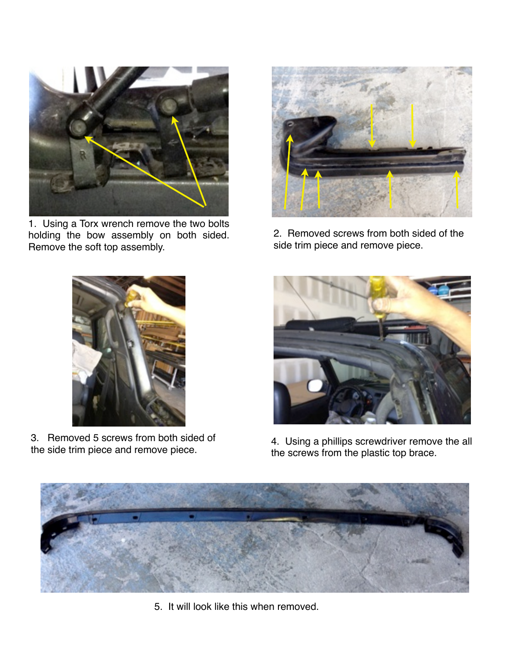

1. Using a Torx wrench remove the two bolts holding the bow assembly on both sided. Remove the soft top assembly.



2. Removed screws from both sided of the side trim piece and remove piece.



3. Removed 5 screws from both sided of the side trim piece and remove piece.



4. Using a phillips screwdriver remove the all the screws from the plastic top brace.



5. It will look like this when removed.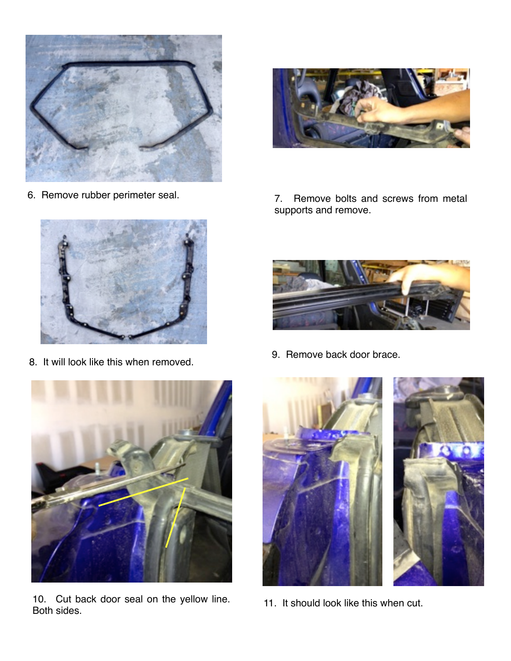



8. It will look like this when removed.



10. Cut back door seal on the yellow line. Both sides.



6. Remove rubber perimeter seal. 7. Remove bolts and screws from metal supports and remove.



9. Remove back door brace.



11. It should look like this when cut.